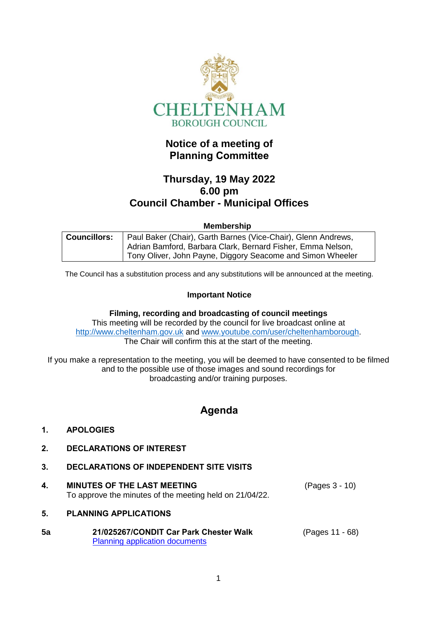

# **Notice of a meeting of Planning Committee**

# **Thursday, 19 May 2022 6.00 pm Council Chamber - Municipal Offices**

#### **Membership**

| <b>Councillors:</b> | Paul Baker (Chair), Garth Barnes (Vice-Chair), Glenn Andrews, |
|---------------------|---------------------------------------------------------------|
|                     | Adrian Bamford, Barbara Clark, Bernard Fisher, Emma Nelson,   |
|                     | Tony Oliver, John Payne, Diggory Seacome and Simon Wheeler    |

The Council has a substitution process and any substitutions will be announced at the meeting.

#### **Important Notice**

**Filming, recording and broadcasting of council meetings** This meeting will be recorded by the council for live broadcast online at [http://www.cheltenham.gov.uk](http://www.cheltenham.gov.uk/) and [www.youtube.com/user/cheltenhamborough.](http://www.youtube.com/user/cheltenhamborough) The Chair will confirm this at the start of the meeting.

If you make a representation to the meeting, you will be deemed to have consented to be filmed and to the possible use of those images and sound recordings for broadcasting and/or training purposes.

# **Agenda**

#### **1. APOLOGIES**

- **2. DECLARATIONS OF INTEREST**
- **3. DECLARATIONS OF INDEPENDENT SITE VISITS**
- **4. MINUTES OF THE LAST MEETING** To approve the minutes of the meeting held on 21/04/22. (Pages 3 - 10)

### **5. PLANNING APPLICATIONS**

| 5a | 21/025267/CONDIT Car Park Chester Walk | (Pages 11 - 68) |
|----|----------------------------------------|-----------------|
|    | <b>Planning application documents</b>  |                 |